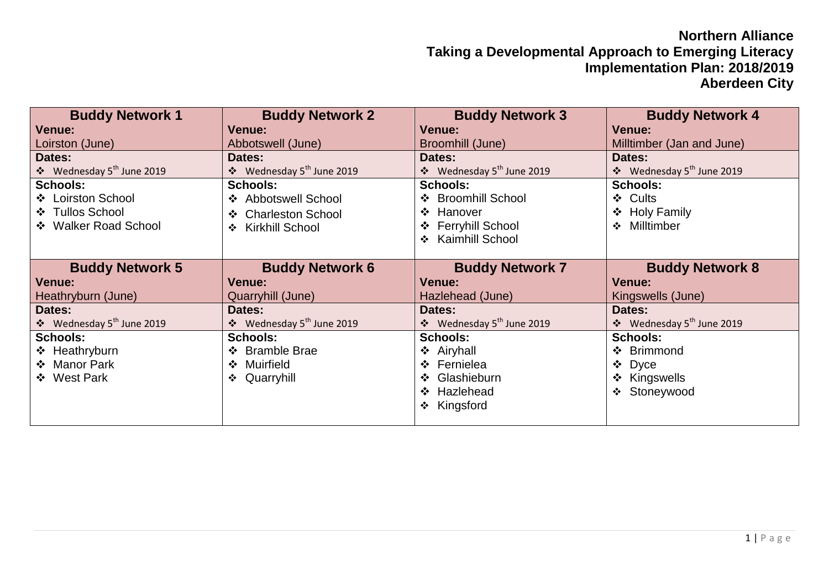## **Northern Alliance Taking a Developmental Approach to Emerging Literacy Implementation Plan: 2018/2019 Aberdeen City**

| <b>Buddy Network 1</b>                | <b>Buddy Network 2</b>                  | <b>Buddy Network 3</b>                     | <b>Buddy Network 4</b>                |
|---------------------------------------|-----------------------------------------|--------------------------------------------|---------------------------------------|
| <b>Venue:</b>                         | Venue:                                  | Venue:                                     | <b>Venue:</b>                         |
| Loirston (June)                       | Abbotswell (June)                       | Broomhill (June)                           | Milltimber (Jan and June)             |
| Dates:                                | Dates:                                  | Dates:                                     | Dates:                                |
| ❖ Wednesday 5 <sup>th</sup> June 2019 | ❖ Wednesday 5 <sup>th</sup> June 2019   | $\div$ Wednesday 5 <sup>th</sup> June 2019 | ❖ Wednesday 5 <sup>th</sup> June 2019 |
| <b>Schools:</b>                       | <b>Schools:</b>                         | <b>Schools:</b>                            | <b>Schools:</b>                       |
| ❖ Loirston School                     | ❖ Abbotswell School                     | ❖ Broomhill School                         | ❖ Cults                               |
| ❖ Tullos School                       | ❖ Charleston School                     | ❖ Hanover                                  | ❖ Holy Family                         |
| ❖ Walker Road School                  | <b>Kirkhill School</b><br>$\frac{1}{2}$ | ❖ Ferryhill School                         | ❖ Milltimber                          |
|                                       |                                         | ❖ Kaimhill School                          |                                       |
|                                       |                                         |                                            |                                       |
| <b>Buddy Network 5</b>                | <b>Buddy Network 6</b>                  | <b>Buddy Network 7</b>                     | <b>Buddy Network 8</b>                |
| <b>Venue:</b>                         | <b>Venue:</b>                           | <b>Venue:</b>                              | <b>Venue:</b>                         |
| Heathryburn (June)                    | Quarryhill (June)                       | Hazlehead (June)                           | Kingswells (June)                     |
| Dates:                                | Dates:                                  | Dates:                                     | Dates:                                |
| ❖ Wednesday 5 <sup>th</sup> June 2019 | ❖ Wednesday 5 <sup>th</sup> June 2019   | ❖ Wednesday 5 <sup>th</sup> June 2019      | ❖ Wednesday 5 <sup>th</sup> June 2019 |
| <b>Schools:</b>                       | <b>Schools:</b>                         | <b>Schools:</b>                            | <b>Schools:</b>                       |
| ❖ Heathryburn                         | ❖ Bramble Brae                          | ❖ Airyhall                                 | ❖ Brimmond                            |
| ❖ Manor Park                          | ❖ Muirfield                             | ❖ Fernielea                                | Dyce<br>❖                             |
| ❖ West Park                           | ❖ Quarryhill                            | ❖ Glashieburn                              | ❖ Kingswells                          |
|                                       |                                         | ❖ Hazlehead                                | ❖ Stoneywood                          |
|                                       |                                         | ❖ Kingsford                                |                                       |
|                                       |                                         |                                            |                                       |